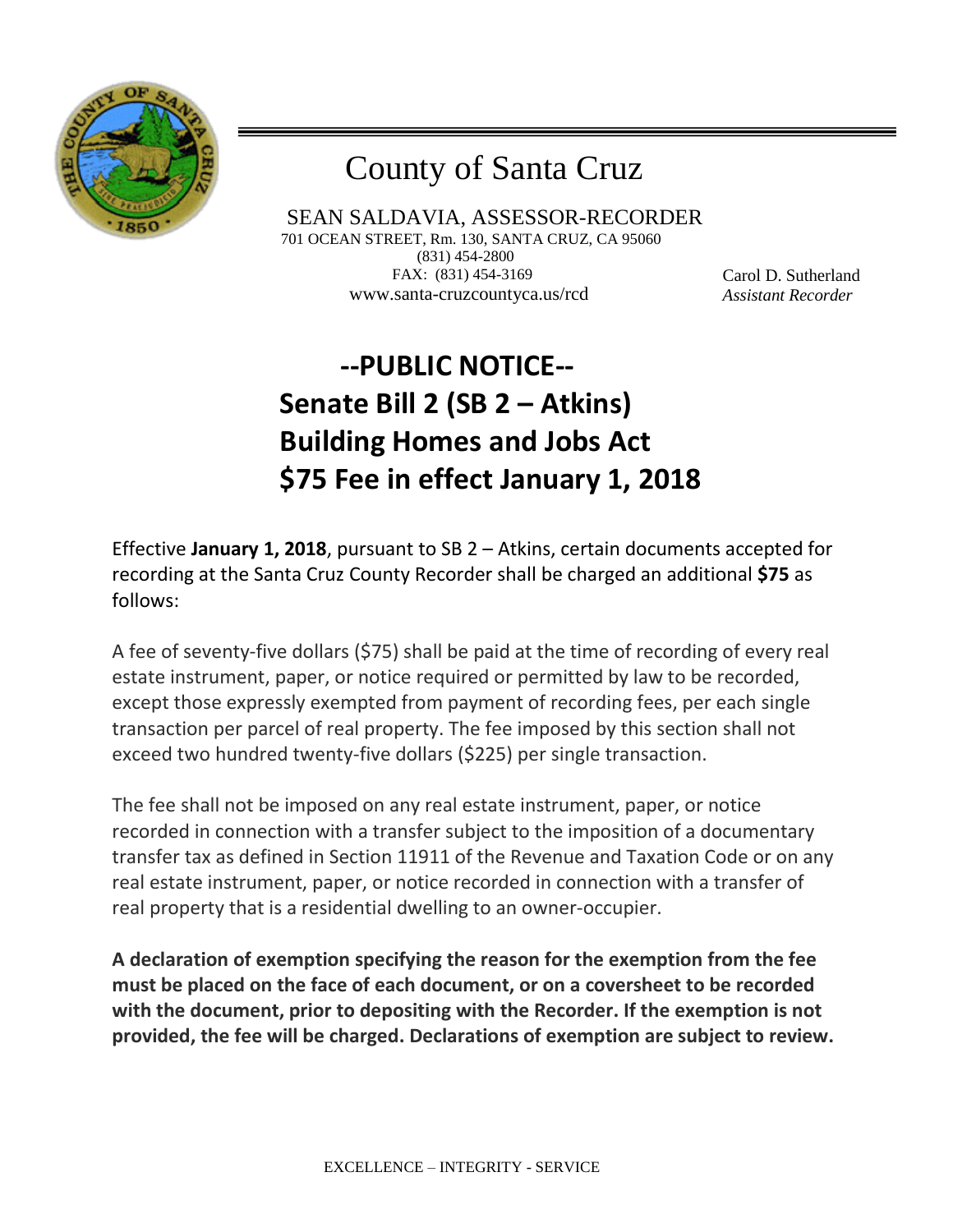

## County of Santa Cruz

 SEAN SALDAVIA, ASSESSOR-RECORDER 701 OCEAN STREET, Rm. 130, SANTA CRUZ, CA 95060 (831) 454-2800 FAX: (831) 454-3169 www.santa-cruzcountyca.us/rcd

Carol D. Sutherland *Assistant Recorder*

## **--PUBLIC NOTICE-- Senate Bill 2 (SB 2 – Atkins) Building Homes and Jobs Act \$75 Fee in effect January 1, 2018**

Effective **January 1, 2018**, pursuant to SB 2 – Atkins, certain documents accepted for recording at the Santa Cruz County Recorder shall be charged an additional **\$75** as follows:

A fee of seventy-five dollars (\$75) shall be paid at the time of recording of every real estate instrument, paper, or notice required or permitted by law to be recorded, except those expressly exempted from payment of recording fees, per each single transaction per parcel of real property. The fee imposed by this section shall not exceed two hundred twenty-five dollars (\$225) per single transaction.

The fee shall not be imposed on any real estate instrument, paper, or notice recorded in connection with a transfer subject to the imposition of a documentary transfer tax as defined in Section 11911 of the Revenue and Taxation Code or on any real estate instrument, paper, or notice recorded in connection with a transfer of real property that is a residential dwelling to an owner-occupier.

**A declaration of exemption specifying the reason for the exemption from the fee must be placed on the face of each document, or on a coversheet to be recorded with the document, prior to depositing with the Recorder. If the exemption is not provided, the fee will be charged. Declarations of exemption are subject to review.**